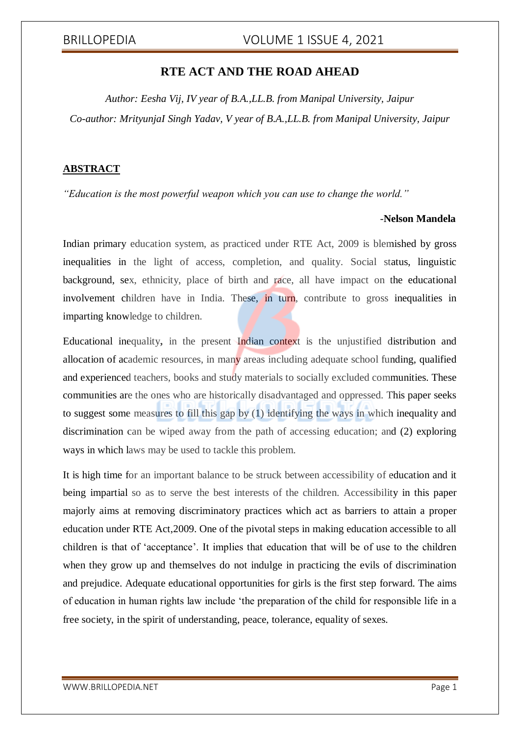# BRILLOPEDIA VOLUME 1 ISSUE 4, 2021

## **RTE ACT AND THE ROAD AHEAD**

*Author: Eesha Vij, IV year of B.A.,LL.B. from Manipal University, Jaipur Co-author: MrityunjaI Singh Yadav, V year of B.A.,LL.B. from Manipal University, Jaipur*

### **ABSTRACT**

*"Education is the most powerful weapon which you can use to change the world."*

### *-***Nelson Mandela**

Indian primary education system, as practiced under RTE Act, 2009 is blemished by gross inequalities in the light of access, completion, and quality. Social status, linguistic background, sex, ethnicity, place of birth and race, all have impact on the educational involvement children have in India. These, in turn, contribute to gross inequalities in imparting knowledge to children.

Educational inequality**,** in the present Indian context is the unjustified distribution and allocation of academic resources, in many areas including adequate school funding, qualified and experienced teachers, books and study materials to socially excluded communities. These communities are the ones who are historically disadvantaged and oppressed. This paper seeks to suggest some measures to fill this gap by (1) identifying the ways in which inequality and discrimination can be wiped away from the path of accessing education; and (2) exploring ways in which laws may be used to tackle this problem.

It is high time for an important balance to be struck between accessibility of education and it being impartial so as to serve the best interests of the children. Accessibility in this paper majorly aims at removing discriminatory practices which act as barriers to attain a proper education under RTE Act,2009. One of the pivotal steps in making education accessible to all children is that of 'acceptance'. It implies that education that will be of use to the children when they grow up and themselves do not indulge in practicing the evils of discrimination and prejudice. Adequate educational opportunities for girls is the first step forward. The aims of education in human rights law include 'the preparation of the child for responsible life in a free society, in the spirit of understanding, peace, tolerance, equality of sexes.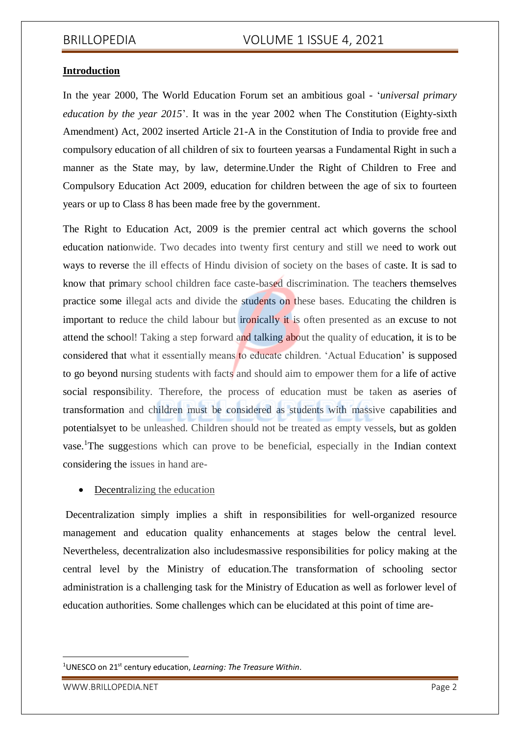# BRILLOPEDIA VOLUME 1 ISSUE 4, 2021

### **Introduction**

In the year 2000, The World Education Forum set an ambitious goal - '*universal primary education by the year 2015*'. It was in the year 2002 when The Constitution (Eighty-sixth Amendment) Act, 2002 inserted Article 21-A in the Constitution of India to provide free and compulsory education of all children of six to fourteen yearsas a Fundamental Right in such a manner as the State may, by law, determine.Under the Right of Children to Free and Compulsory Education Act 2009, education for children between the age of six to fourteen years or up to Class 8 has been made free by the government.

The Right to Education Act, 2009 is the premier central act which governs the school education nationwide. Two decades into twenty first century and still we need to work out ways to reverse the ill effects of Hindu division of society on the bases of caste. It is sad to know that primary school children face caste-based discrimination. The teachers themselves practice some illegal acts and divide the students on these bases. Educating the children is important to reduce the child labour but ironically it is often presented as an excuse to not attend the school! Taking a step forward and talking about the quality of education, it is to be considered that what it essentially means to educate children. 'Actual Education' is supposed to go beyond nursing students with facts and should aim to empower them for a life of active social responsibility. Therefore, the process of education must be taken as aseries of transformation and children must be considered as students with massive capabilities and potentialsyet to be unleashed. Children should not be treated as empty vessels, but as golden vase.<sup>1</sup>The suggestions which can prove to be beneficial, especially in the Indian context considering the issues in hand are-

### • Decentralizing the education

Decentralization simply implies a shift in responsibilities for well-organized resource management and education quality enhancements at stages below the central level. Nevertheless, decentralization also includesmassive responsibilities for policy making at the central level by the Ministry of education.The transformation of schooling sector administration is a challenging task for the Ministry of Education as well as forlower level of education authorities. Some challenges which can be elucidated at this point of time are-

WWW.BRILLOPEDIA.NET Page 2

-

<sup>&</sup>lt;sup>1</sup>UNESCO on 21<sup>st</sup> century education, *Learning: The Treasure Within*.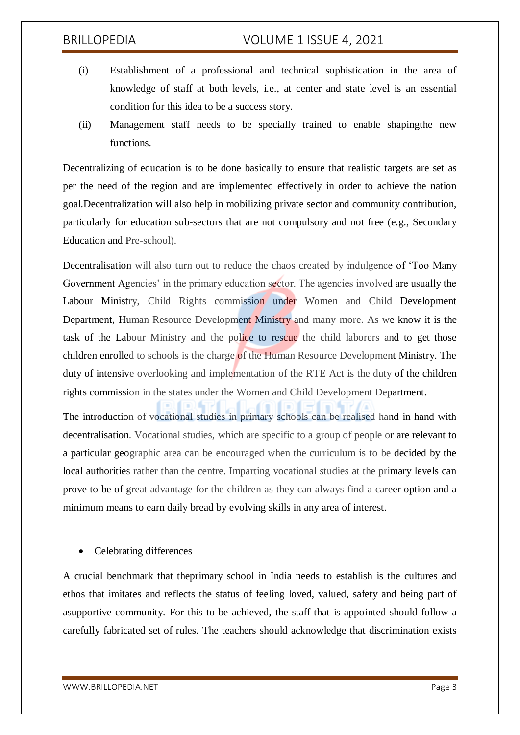# BRILLOPEDIA VOLUME 1 ISSUE 4, 2021

- (i) Establishment of a professional and technical sophistication in the area of knowledge of staff at both levels, i.e., at center and state level is an essential condition for this idea to be a success story.
- (ii) Management staff needs to be specially trained to enable shapingthe new functions.

Decentralizing of education is to be done basically to ensure that realistic targets are set as per the need of the region and are implemented effectively in order to achieve the nation goal.Decentralization will also help in mobilizing private sector and community contribution, particularly for education sub-sectors that are not compulsory and not free (e.g., Secondary Education and Pre-school).

Decentralisation will also turn out to reduce the chaos created by indulgence of 'Too Many Government Agencies' in the primary education sector. The agencies involved are usually the Labour Ministry, Child Rights commission under Women and Child Development Department, Human Resource Development Ministry and many more. As we know it is the task of the Labour Ministry and the police to rescue the child laborers and to get those children enrolled to schools is the charge of the Human Resource Development Ministry. The duty of intensive overlooking and implementation of the RTE Act is the duty of the children rights commission in the states under the Women and Child Development Department.

The introduction of vocational studies in primary schools can be realised hand in hand with decentralisation. Vocational studies, which are specific to a group of people or are relevant to a particular geographic area can be encouraged when the curriculum is to be decided by the local authorities rather than the centre. Imparting vocational studies at the primary levels can prove to be of great advantage for the children as they can always find a career option and a minimum means to earn daily bread by evolving skills in any area of interest.

# Celebrating differences

A crucial benchmark that theprimary school in India needs to establish is the cultures and ethos that imitates and reflects the status of feeling loved, valued, safety and being part of asupportive community. For this to be achieved, the staff that is appointed should follow a carefully fabricated set of rules. The teachers should acknowledge that discrimination exists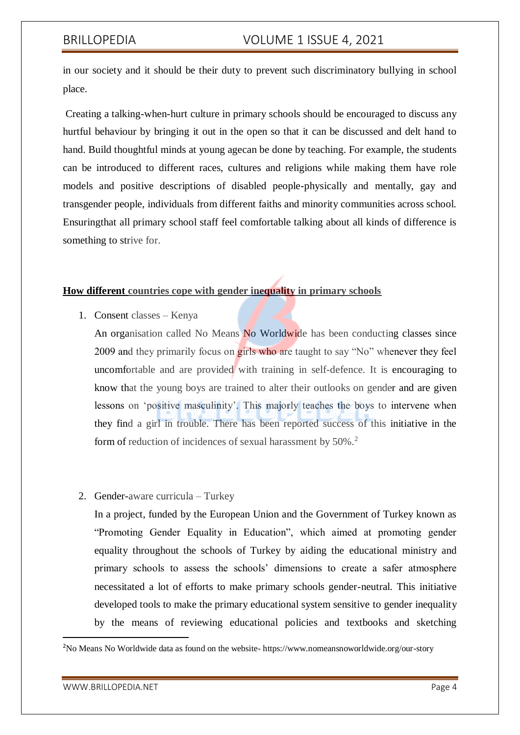in our society and it should be their duty to prevent such discriminatory bullying in school place.

Creating a talking-when-hurt culture in primary schools should be encouraged to discuss any hurtful behaviour by bringing it out in the open so that it can be discussed and delt hand to hand. Build thoughtful minds at young agecan be done by teaching. For example, the students can be introduced to different races, cultures and religions while making them have role models and positive descriptions of disabled people-physically and mentally, gay and transgender people, individuals from different faiths and minority communities across school. Ensuringthat all primary school staff feel comfortable talking about all kinds of difference is something to strive for.

### **How different countries cope with gender inequality in primary schools**

1. Consent classes – Kenya

An organisation called No Means No Worldwide has been conducting classes since 2009 and they primarily focus on girls who are taught to say "No" whenever they feel uncomfortable and are provided with training in self-defence. It is encouraging to know that the young boys are trained to alter their outlooks on gender and are given lessons on 'positive masculinity'. This majorly teaches the boys to intervene when they find a girl in trouble. There has been reported success of this initiative in the form of reduction of incidences of sexual harassment by 50%.<sup>2</sup>

# 2. Gender-aware curricula – Turkey

In a project, funded by the European Union and the Government of Turkey known as "Promoting Gender Equality in Education", which aimed at promoting gender equality throughout the schools of Turkey by aiding the educational ministry and primary schools to assess the schools' dimensions to create a safer atmosphere necessitated a lot of efforts to make primary schools gender-neutral. This initiative developed tools to make the primary educational system sensitive to gender inequality by the means of reviewing educational policies and textbooks and sketching

1

<sup>2</sup>No Means No Worldwide data as found on the website- https://www.nomeansnoworldwide.org/our-story